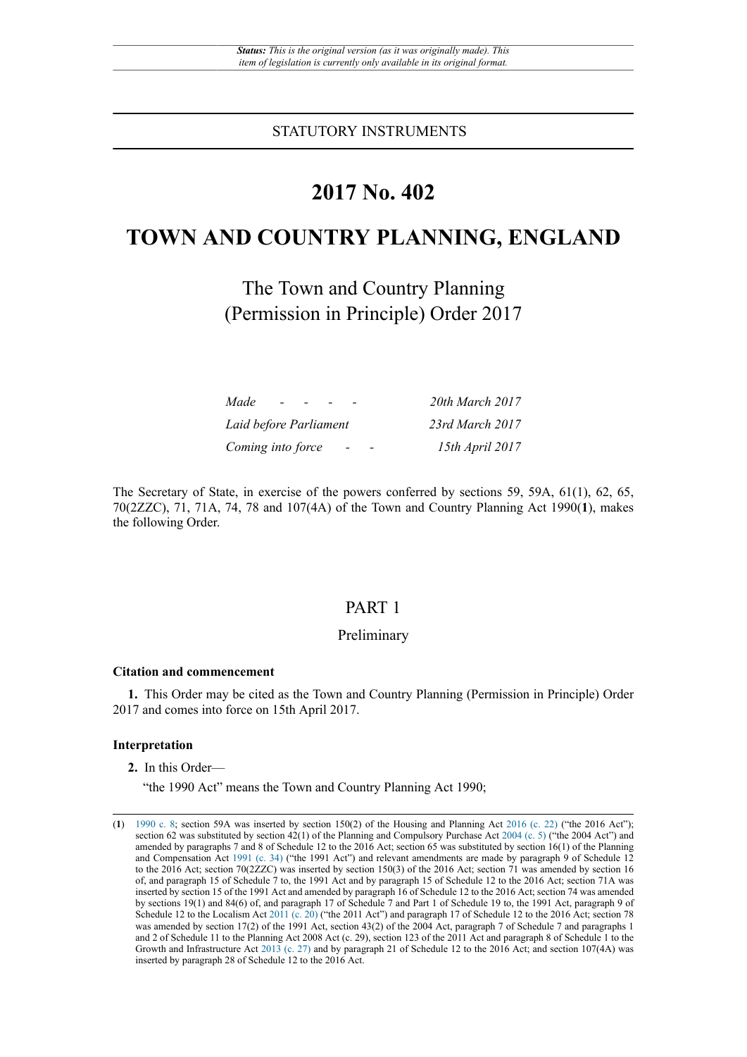STATUTORY INSTRUMENTS

# **2017 No. 402**

# **TOWN AND COUNTRY PLANNING, ENGLAND**

The Town and Country Planning (Permission in Principle) Order 2017

| Made<br><b>Contract Contract</b> | 20th March 2017 |
|----------------------------------|-----------------|
| Laid before Parliament           | 23rd March 2017 |
| Coming into force                | 15th April 2017 |

The Secretary of State, in exercise of the powers conferred by sections 59, 59A, 61(1), 62, 65, 70(2ZZC), 71, 71A, 74, 78 and 107(4A) of the Town and Country Planning Act 1990(**1**), makes the following Order.

# PART 1

## Preliminary

#### **Citation and commencement**

**1.** This Order may be cited as the Town and Country Planning (Permission in Principle) Order 2017 and comes into force on 15th April 2017.

### **Interpretation**

**2.** In this Order—

"the 1990 Act" means the Town and Country Planning Act 1990;

<sup>(</sup>**1**) [1990 c. 8](http://www.legislation.gov.uk/id/ukpga/1990/8); section 59A was inserted by section 150(2) of the Housing and Planning Act [2016 \(c. 22\)](http://www.legislation.gov.uk/id/ukpga/2016/22) ("the 2016 Act"); section 62 was substituted by section 42(1) of the Planning and Compulsory Purchase Act [2004 \(c. 5\)](http://www.legislation.gov.uk/id/ukpga/2004/5) ("the 2004 Act") and amended by paragraphs 7 and 8 of Schedule 12 to the 2016 Act; section 65 was substituted by section 16(1) of the Planning and Compensation Act [1991 \(c. 34\)](http://www.legislation.gov.uk/id/ukpga/1991/34) ("the 1991 Act") and relevant amendments are made by paragraph 9 of Schedule 12 to the 2016 Act; section 70(2ZZC) was inserted by section 150(3) of the 2016 Act; section 71 was amended by section 16 of, and paragraph 15 of Schedule 7 to, the 1991 Act and by paragraph 15 of Schedule 12 to the 2016 Act; section 71A was inserted by section 15 of the 1991 Act and amended by paragraph 16 of Schedule 12 to the 2016 Act; section 74 was amended by sections 19(1) and 84(6) of, and paragraph 17 of Schedule 7 and Part 1 of Schedule 19 to, the 1991 Act, paragraph 9 of Schedule 12 to the Localism Act [2011](http://www.legislation.gov.uk/id/ukpga/2011/20) (c. 20) ("the 2011 Act") and paragraph 17 of Schedule 12 to the 2016 Act; section 78 was amended by section 17(2) of the 1991 Act, section 43(2) of the 2004 Act, paragraph 7 of Schedule 7 and paragraphs 1 and 2 of Schedule 11 to the Planning Act 2008 Act (c. 29), section 123 of the 2011 Act and paragraph 8 of Schedule 1 to the Growth and Infrastructure Act [2013 \(c. 27\)](http://www.legislation.gov.uk/id/ukpga/2013/27) and by paragraph 21 of Schedule 12 to the 2016 Act; and section 107(4A) was inserted by paragraph 28 of Schedule 12 to the 2016 Act.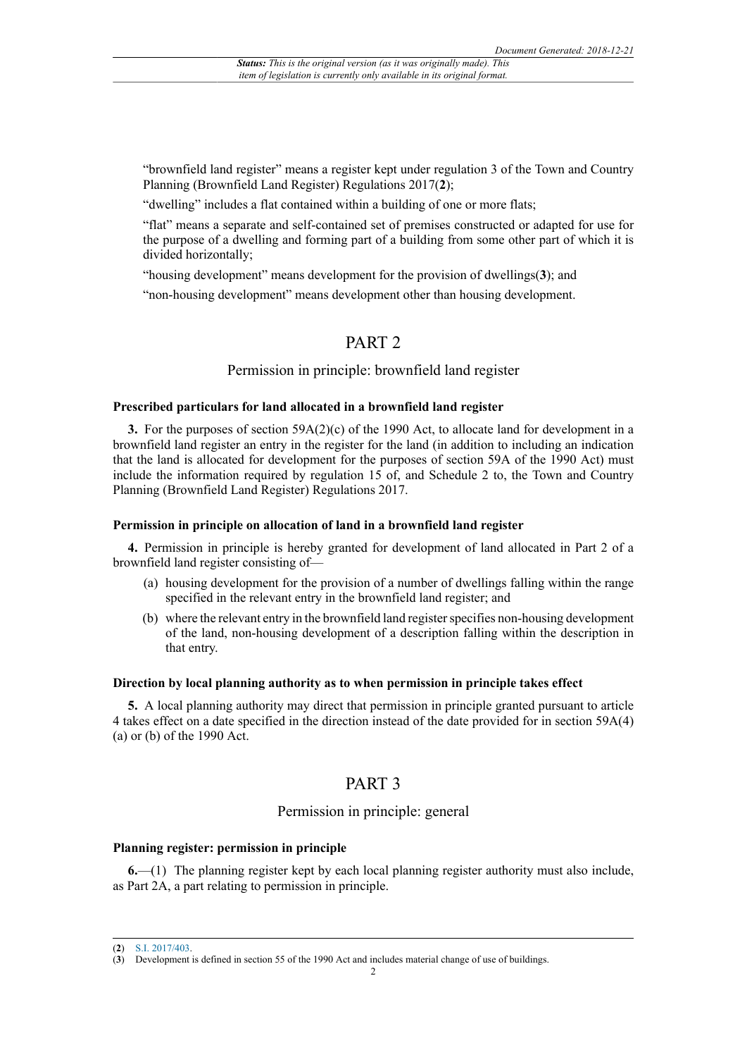"brownfield land register" means a register kept under regulation 3 of the Town and Country Planning (Brownfield Land Register) Regulations 2017(**2**);

"dwelling" includes a flat contained within a building of one or more flats;

"flat" means a separate and self-contained set of premises constructed or adapted for use for the purpose of a dwelling and forming part of a building from some other part of which it is divided horizontally;

"housing development" means development for the provision of dwellings(**3**); and

"non-housing development" means development other than housing development.

# PART<sub>2</sub>

### Permission in principle: brownfield land register

### **Prescribed particulars for land allocated in a brownfield land register**

**3.** For the purposes of section 59A(2)(c) of the 1990 Act, to allocate land for development in a brownfield land register an entry in the register for the land (in addition to including an indication that the land is allocated for development for the purposes of section 59A of the 1990 Act) must include the information required by regulation 15 of, and Schedule 2 to, the Town and Country Planning (Brownfield Land Register) Regulations 2017.

#### **Permission in principle on allocation of land in a brownfield land register**

**4.** Permission in principle is hereby granted for development of land allocated in Part 2 of a brownfield land register consisting of—

- (a) housing development for the provision of a number of dwellings falling within the range specified in the relevant entry in the brownfield land register; and
- (b) where the relevant entry in the brownfield land register specifies non-housing development of the land, non-housing development of a description falling within the description in that entry.

#### **Direction by local planning authority as to when permission in principle takes effect**

**5.** A local planning authority may direct that permission in principle granted pursuant to article 4 takes effect on a date specified in the direction instead of the date provided for in section 59A(4) (a) or (b) of the 1990 Act.

# PART 3

### Permission in principle: general

### **Planning register: permission in principle**

**6.**—(1) The planning register kept by each local planning register authority must also include, as Part 2A, a part relating to permission in principle.

<sup>(</sup>**2**) [S.I. 2017/403](http://www.legislation.gov.uk/id/uksi/2017/403).

<sup>(</sup>**3**) Development is defined in section 55 of the 1990 Act and includes material change of use of buildings.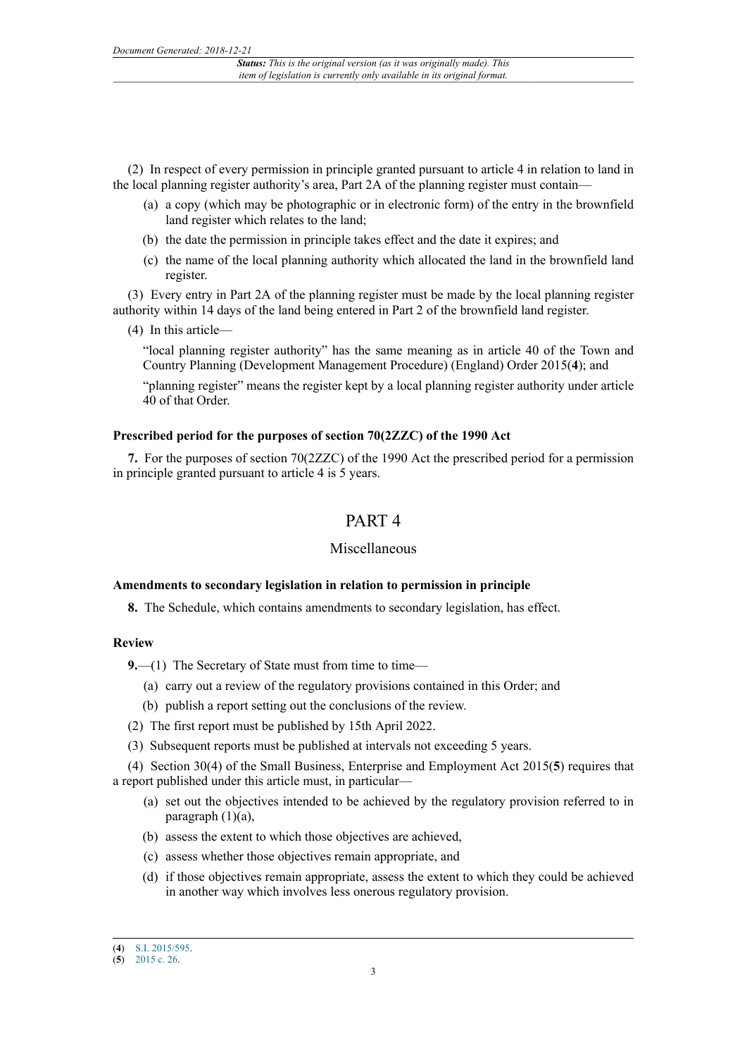(2) In respect of every permission in principle granted pursuant to article 4 in relation to land in the local planning register authority's area, Part 2A of the planning register must contain—

- (a) a copy (which may be photographic or in electronic form) of the entry in the brownfield land register which relates to the land;
- (b) the date the permission in principle takes effect and the date it expires; and
- (c) the name of the local planning authority which allocated the land in the brownfield land register.

(3) Every entry in Part 2A of the planning register must be made by the local planning register authority within 14 days of the land being entered in Part 2 of the brownfield land register.

(4) In this article—

"local planning register authority" has the same meaning as in article 40 of the Town and Country Planning (Development Management Procedure) (England) Order 2015(**4**); and

"planning register" means the register kept by a local planning register authority under article 40 of that Order.

# **Prescribed period for the purposes of section 70(2ZZC) of the 1990 Act**

**7.** For the purposes of section 70(2ZZC) of the 1990 Act the prescribed period for a permission in principle granted pursuant to article 4 is 5 years.

# PART 4

### Miscellaneous

#### **Amendments to secondary legislation in relation to permission in principle**

**8.** The Schedule, which contains amendments to secondary legislation, has effect.

### **Review**

**9.**—(1) The Secretary of State must from time to time—

- (a) carry out a review of the regulatory provisions contained in this Order; and
- (b) publish a report setting out the conclusions of the review.
- (2) The first report must be published by 15th April 2022.
- (3) Subsequent reports must be published at intervals not exceeding 5 years.

(4) Section 30(4) of the Small Business, Enterprise and Employment Act 2015(**5**) requires that a report published under this article must, in particular—

- (a) set out the objectives intended to be achieved by the regulatory provision referred to in paragraph  $(1)(a)$ ,
- (b) assess the extent to which those objectives are achieved,
- (c) assess whether those objectives remain appropriate, and
- (d) if those objectives remain appropriate, assess the extent to which they could be achieved in another way which involves less onerous regulatory provision.

<sup>(</sup>**4**) [S.I. 2015/595](http://www.legislation.gov.uk/id/uksi/2015/595).

<sup>(</sup>**5**) [2015 c. 26.](http://www.legislation.gov.uk/id/ukpga/2015/26)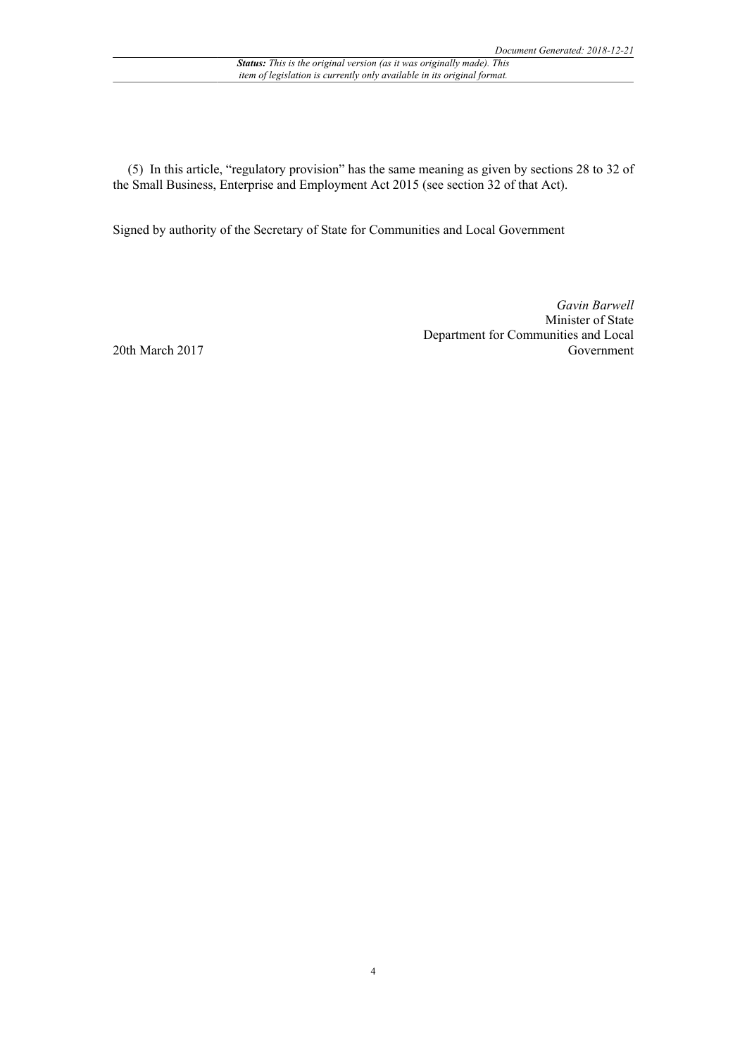(5) In this article, "regulatory provision" has the same meaning as given by sections 28 to 32 of the Small Business, Enterprise and Employment Act 2015 (see section 32 of that Act).

Signed by authority of the Secretary of State for Communities and Local Government

*Gavin Barwell* Minister of State Department for Communities and Local Government

20th March 2017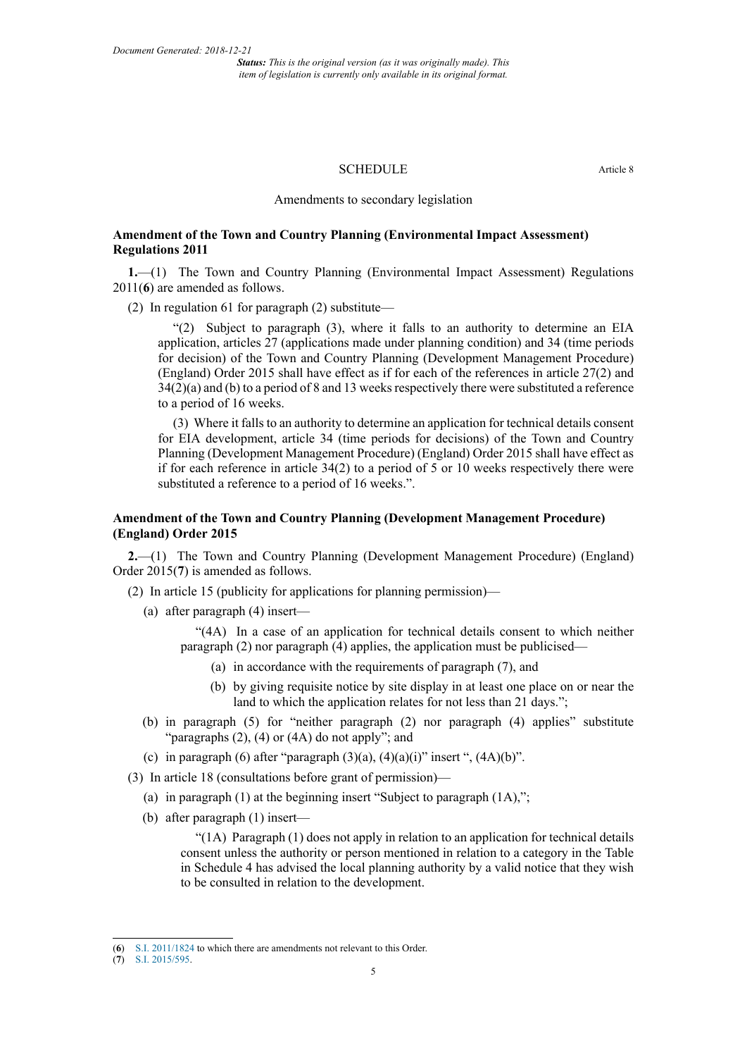### SCHEDULE Article 8

Amendments to secondary legislation

### **Amendment of the Town and Country Planning (Environmental Impact Assessment) Regulations 2011**

**1.**—(1) The Town and Country Planning (Environmental Impact Assessment) Regulations 2011(**6**) are amended as follows.

(2) In regulation 61 for paragraph (2) substitute—

"(2) Subject to paragraph (3), where it falls to an authority to determine an EIA application, articles 27 (applications made under planning condition) and 34 (time periods for decision) of the Town and Country Planning (Development Management Procedure) (England) Order 2015 shall have effect as if for each of the references in article 27(2) and 34(2)(a) and (b) to a period of 8 and 13 weeks respectively there were substituted a reference to a period of 16 weeks.

(3) Where it falls to an authority to determine an application for technical details consent for EIA development, article 34 (time periods for decisions) of the Town and Country Planning (Development Management Procedure) (England) Order 2015 shall have effect as if for each reference in article  $34(2)$  to a period of 5 or 10 weeks respectively there were substituted a reference to a period of 16 weeks.".

### **Amendment of the Town and Country Planning (Development Management Procedure) (England) Order 2015**

**2.**—(1) The Town and Country Planning (Development Management Procedure) (England) Order 2015(**7**) is amended as follows.

(2) In article 15 (publicity for applications for planning permission)—

(a) after paragraph (4) insert—

"(4A) In a case of an application for technical details consent to which neither paragraph (2) nor paragraph (4) applies, the application must be publicised—

- (a) in accordance with the requirements of paragraph (7), and
- (b) by giving requisite notice by site display in at least one place on or near the land to which the application relates for not less than 21 days.";
- (b) in paragraph (5) for "neither paragraph (2) nor paragraph (4) applies" substitute "paragraphs (2), (4) or (4A) do not apply"; and
- (c) in paragraph (6) after "paragraph  $(3)(a)$ ,  $(4)(a)(i)$ " insert ",  $(4A)(b)$ ".
- (3) In article 18 (consultations before grant of permission)—
	- (a) in paragraph (1) at the beginning insert "Subject to paragraph (1A),";
	- (b) after paragraph (1) insert—

"(1A) Paragraph (1) does not apply in relation to an application for technical details consent unless the authority or person mentioned in relation to a category in the Table in Schedule 4 has advised the local planning authority by a valid notice that they wish to be consulted in relation to the development.

<sup>(</sup>**6**) S.I. [2011/1824](http://www.legislation.gov.uk/id/uksi/2011/1824) to which there are amendments not relevant to this Order.

<sup>(</sup>**7**) [S.I. 2015/595](http://www.legislation.gov.uk/id/uksi/2015/595).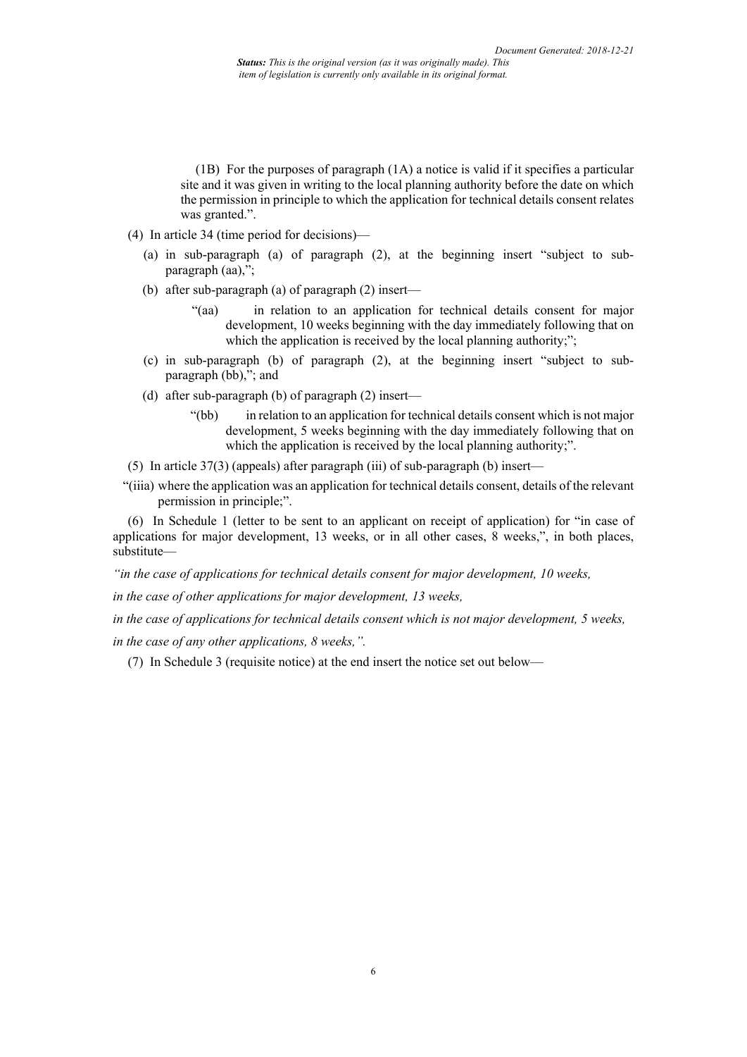(1B) For the purposes of paragraph (1A) a notice is valid if it specifies a particular site and it was given in writing to the local planning authority before the date on which the permission in principle to which the application for technical details consent relates was granted.".

- (4) In article 34 (time period for decisions)—
	- (a) in sub-paragraph (a) of paragraph (2), at the beginning insert "subject to subparagraph  $(aa)$ ,";
	- (b) after sub-paragraph (a) of paragraph (2) insert—
		- "(aa) in relation to an application for technical details consent for major development, 10 weeks beginning with the day immediately following that on which the application is received by the local planning authority;";
	- (c) in sub-paragraph (b) of paragraph (2), at the beginning insert "subject to subparagraph (bb),"; and
	- (d) after sub-paragraph (b) of paragraph (2) insert—
		- "(bb) in relation to an application for technical details consent which is not major development, 5 weeks beginning with the day immediately following that on which the application is received by the local planning authority;".
- (5) In article 37(3) (appeals) after paragraph (iii) of sub-paragraph (b) insert—
- "(iiia) where the application was an application for technical details consent, details of the relevant permission in principle;".

(6) In Schedule 1 (letter to be sent to an applicant on receipt of application) for "in case of applications for major development, 13 weeks, or in all other cases, 8 weeks,", in both places, substitute—

*"in the case of applications for technical details consent for major development, 10 weeks,*

*in the case of other applications for major development, 13 weeks,*

*in the case of applications for technical details consent which is not major development, 5 weeks,*

*in the case of any other applications, 8 weeks,".*

(7) In Schedule 3 (requisite notice) at the end insert the notice set out below—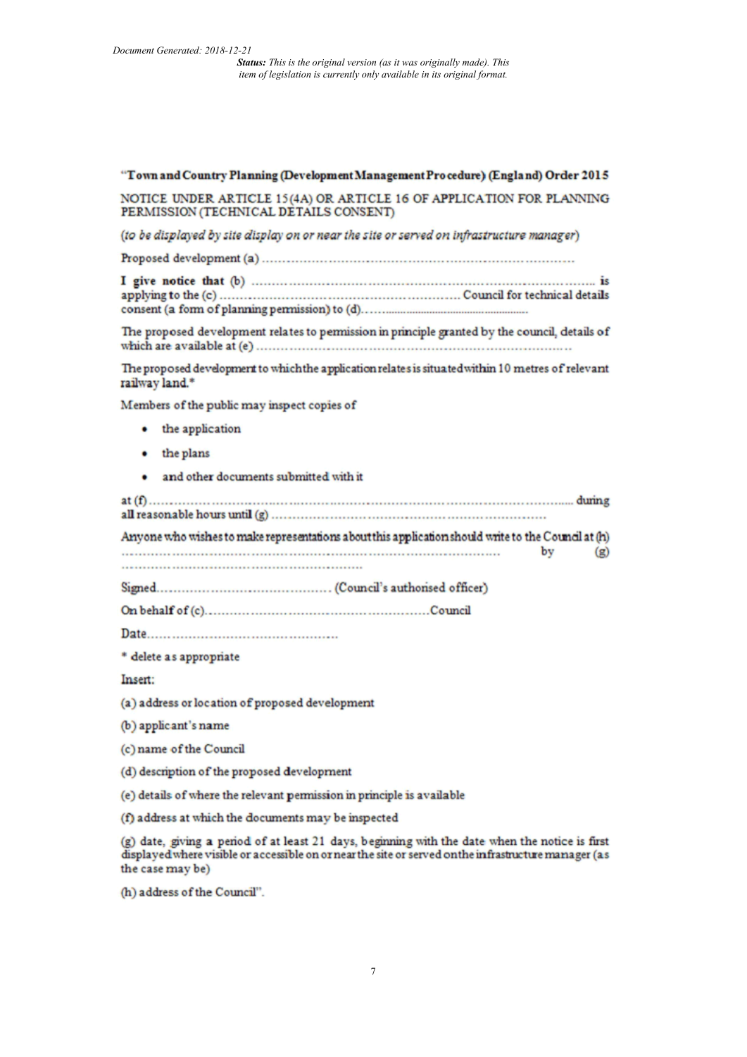### "Town and Country Planning (Development Management Procedure) (England) Order 2015

NOTICE UNDER ARTICLE 15(4A) OR ARTICLE 16 OF APPLICATION FOR PLANNING PERMISSION (TECHNICAL DETAILS CONSENT)

(to be displayed by site display on or near the site or served on infrastructure manager)

The proposed development relates to permission in principle granted by the council, details of 

The proposed development to which the application relates is situated within 10 metres of relevant railway land.\*

Members of the public may inspect copies of

- the application
- the plans
- · and other documents submitted with it

Anyone who wishes to make representations about this application should write to the Council at (h) by  $(g)$ 

\* delete as appropriate

Insert:

(a) address or location of proposed development

- (b) applicant's name
- (c) name of the Council
- (d) description of the proposed development

(e) details of where the relevant permission in principle is available

(f) address at which the documents may be inspected

(g) date, giving a period of at least 21 days, beginning with the date when the notice is first displayed where visible or accessible on or near the site or served on the infrastructure manager (as the case may be)

(h) address of the Council".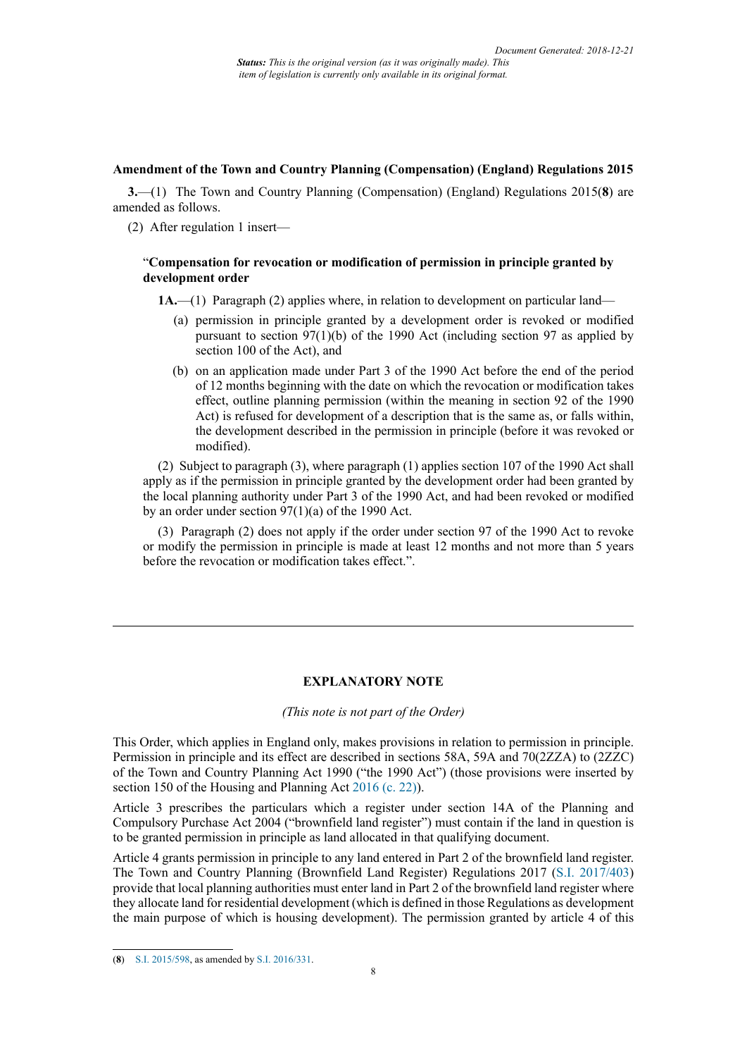#### **Amendment of the Town and Country Planning (Compensation) (England) Regulations 2015**

**3.**—(1) The Town and Country Planning (Compensation) (England) Regulations 2015(**8**) are amended as follows.

(2) After regulation 1 insert—

### "**Compensation for revocation or modification of permission in principle granted by development order**

**1A.**—(1) Paragraph (2) applies where, in relation to development on particular land—

- (a) permission in principle granted by a development order is revoked or modified pursuant to section 97(1)(b) of the 1990 Act (including section 97 as applied by section 100 of the Act), and
- (b) on an application made under Part 3 of the 1990 Act before the end of the period of 12 months beginning with the date on which the revocation or modification takes effect, outline planning permission (within the meaning in section 92 of the 1990 Act) is refused for development of a description that is the same as, or falls within, the development described in the permission in principle (before it was revoked or modified).

(2) Subject to paragraph (3), where paragraph (1) applies section 107 of the 1990 Act shall apply as if the permission in principle granted by the development order had been granted by the local planning authority under Part 3 of the 1990 Act, and had been revoked or modified by an order under section 97(1)(a) of the 1990 Act.

(3) Paragraph (2) does not apply if the order under section 97 of the 1990 Act to revoke or modify the permission in principle is made at least 12 months and not more than 5 years before the revocation or modification takes effect.".

## **EXPLANATORY NOTE**

*(This note is not part of the Order)*

This Order, which applies in England only, makes provisions in relation to permission in principle. Permission in principle and its effect are described in sections 58A, 59A and 70(2ZZA) to (2ZZC) of the Town and Country Planning Act 1990 ("the 1990 Act") (those provisions were inserted by section 150 of the Housing and Planning Act [2016 \(c. 22\)](http://www.legislation.gov.uk/id/ukpga/2016/22)).

Article 3 prescribes the particulars which a register under section 14A of the Planning and Compulsory Purchase Act 2004 ("brownfield land register") must contain if the land in question is to be granted permission in principle as land allocated in that qualifying document.

Article 4 grants permission in principle to any land entered in Part 2 of the brownfield land register. The Town and Country Planning (Brownfield Land Register) Regulations 2017 [\(S.I. 2017/403\)](http://www.legislation.gov.uk/id/uksi/2017/403) provide that local planning authorities must enter land in Part 2 of the brownfield land register where they allocate land for residential development (which is defined in those Regulations as development the main purpose of which is housing development). The permission granted by article 4 of this

<sup>(</sup>**8**) [S.I. 2015/598](http://www.legislation.gov.uk/id/uksi/2015/598), as amended by [S.I. 2016/331](http://www.legislation.gov.uk/id/uksi/2016/331).